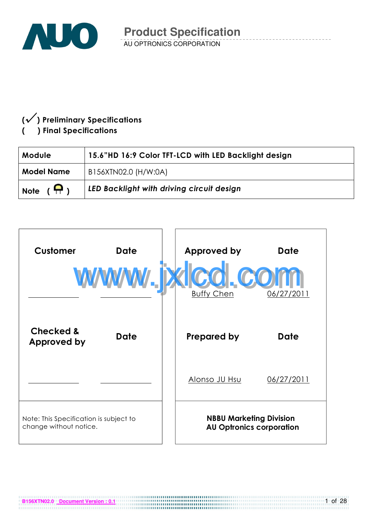

## $(\sqrt{})$  Preliminary Specifications ) Final Specifications

**B156XTN02.0 Document Version : 0.1**

| Module             | 15.6"HD 16:9 Color TFT-LCD with LED Backlight design |  |  |  |
|--------------------|------------------------------------------------------|--|--|--|
| <b>Model Name</b>  | B156XTN02.0 (H/W:0A)                                 |  |  |  |
| Note $(\bigoplus)$ | LED Backlight with driving circuit design            |  |  |  |

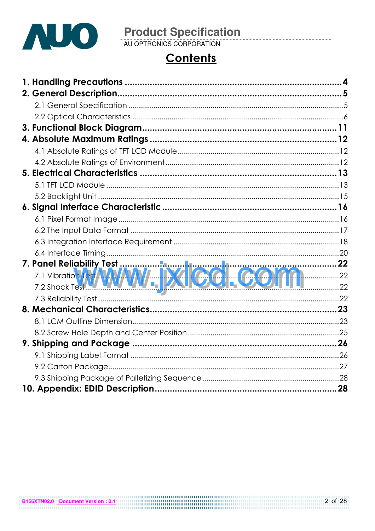

# **Product Specification**<br>AU OPTRONICS CORPORATION

# **Contents**

| 7.1 Vibration <b>RKAWAW  EQ. COMM</b> |  |
|---------------------------------------|--|
|                                       |  |
|                                       |  |
|                                       |  |
|                                       |  |
|                                       |  |
|                                       |  |
|                                       |  |
|                                       |  |
|                                       |  |
|                                       |  |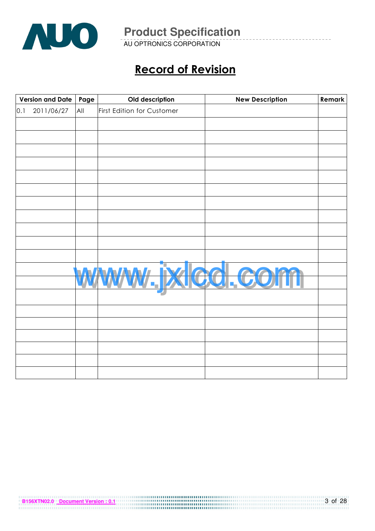

AU OPTRONICS CORPORATION

# Record of Revision

|     | Version and Date<br>Page |     | Old description            | <b>New Description</b> | Remark |
|-----|--------------------------|-----|----------------------------|------------------------|--------|
| 0.1 | 2011/06/27               | All | First Edition for Customer |                        |        |
|     |                          |     |                            |                        |        |
|     |                          |     |                            |                        |        |
|     |                          |     |                            |                        |        |
|     |                          |     |                            |                        |        |
|     |                          |     |                            |                        |        |
|     |                          |     |                            |                        |        |
|     |                          |     |                            |                        |        |
|     |                          |     |                            |                        |        |
|     |                          |     |                            |                        |        |
|     |                          |     |                            |                        |        |
|     |                          |     |                            |                        |        |
|     |                          |     |                            |                        |        |
|     |                          |     |                            |                        |        |
|     |                          |     |                            |                        |        |
|     |                          |     |                            | xled.c                 |        |
|     |                          |     |                            |                        |        |
|     |                          |     |                            |                        |        |
|     |                          |     |                            |                        |        |
|     |                          |     |                            |                        |        |
|     |                          |     |                            |                        |        |
|     |                          |     |                            |                        |        |
|     |                          |     |                            |                        |        |
|     |                          |     |                            |                        |        |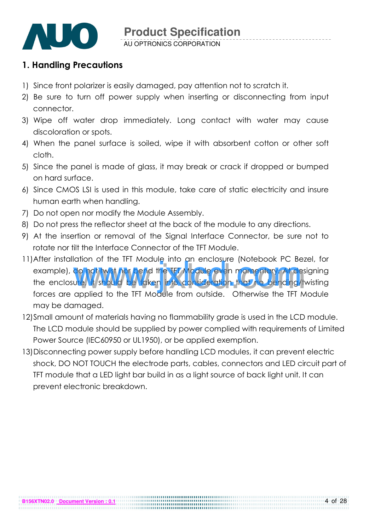

## 1. Handling Precautions

- 1) Since front polarizer is easily damaged, pay attention not to scratch it.
- 2) Be sure to turn off power supply when inserting or disconnecting from input connector.
- 3) Wipe off water drop immediately. Long contact with water may cause discoloration or spots.
- 4) When the panel surface is soiled, wipe it with absorbent cotton or other soft cloth.
- 5) Since the panel is made of glass, it may break or crack if dropped or bumped on hard surface.
- 6) Since CMOS LSI is used in this module, take care of static electricity and insure human earth when handling.
- 7) Do not open nor modify the Module Assembly.
- 8) Do not press the reflector sheet at the back of the module to any directions.
- 9) At the insertion or removal of the Signal Interface Connector, be sure not to rotate nor tilt the Interface Connector of the TFT Module.
- 11) After installation of the TFT Module into an enclosure (Notebook PC Bezel, for example), do not twist nor bend the TFT Module even momentary. At designing the enclosure, it should be taken into consideration that no bending/twisting forces are applied to the TFT Module from outside. Otherwise the TFT Module may be damaged. anon of the TFT module into an enclosure (Notebook PC bez<br>do not twist nor bend the TFT Module even momentary. At des<br>ure, it should be taken into consideration that no bending/to<br>applied to the TFT Module from outside. Ot
- 12)Small amount of materials having no flammability grade is used in the LCD module. The LCD module should be supplied by power complied with requirements of Limited Power Source (IEC60950 or UL1950), or be applied exemption.
- 13)Disconnecting power supply before handling LCD modules, it can prevent electric shock, DO NOT TOUCH the electrode parts, cables, connectors and LED circuit part of TFT module that a LED light bar build in as a light source of back light unit. It can prevent electronic breakdown.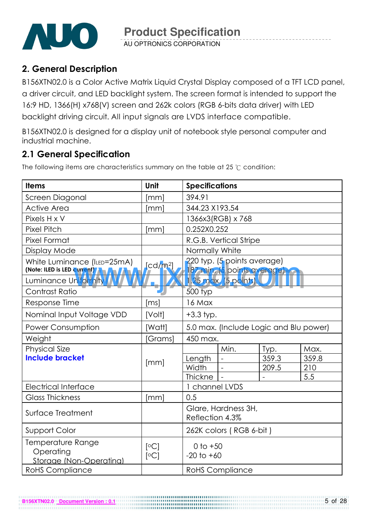

## 2. General Description

B156XTN02.0 is a Color Active Matrix Liquid Crystal Display composed of a TFT LCD panel, a driver circuit, and LED backlight system. The screen format is intended to support the 16:9 HD, 1366(H) x768(V) screen and 262k colors (RGB 6-bits data driver) with LED backlight driving circuit. All input signals are LVDS interface compatible.

B156XTN02.0 is designed for a display unit of notebook style personal computer and industrial machine.

## 2.1 General Specification

The following items are characteristics summary on the table at 25  $\degree$ C condition:

| <b>Items</b>                                               | Unit                 | <b>Specifications</b>                  |                                                           |                          |       |  |  |
|------------------------------------------------------------|----------------------|----------------------------------------|-----------------------------------------------------------|--------------------------|-------|--|--|
| Screen Diagonal                                            | [mm]                 | 394.91                                 |                                                           |                          |       |  |  |
| <b>Active Area</b>                                         | [mm]                 | 344.23 X193.54                         |                                                           |                          |       |  |  |
| Pixels H x V                                               |                      |                                        | 1366x3(RGB) x 768                                         |                          |       |  |  |
| <b>Pixel Pitch</b>                                         | [mm]                 | 0.252X0.252                            |                                                           |                          |       |  |  |
| <b>Pixel Format</b>                                        |                      |                                        | R.G.B. Vertical Stripe                                    |                          |       |  |  |
| Display Mode                                               |                      | Normally White                         |                                                           |                          |       |  |  |
| White Luminance (ILED=25mA)<br>(Note: ILED is LED current) | [cd/m <sup>2</sup> ] |                                        | 220 typ. (5 points average)<br>87 min. (5 points average) |                          |       |  |  |
| Luminance Uniformity                                       |                      |                                        | 1.25 max. (5 points).                                     |                          |       |  |  |
| <b>Contrast Ratio</b>                                      |                      | $500$ typ                              |                                                           |                          |       |  |  |
| Response Time                                              | [ms]                 | 16 Max                                 |                                                           |                          |       |  |  |
| Nominal Input Voltage VDD                                  | [Volt]               | $+3.3$ typ.                            |                                                           |                          |       |  |  |
| Power Consumption                                          | [Watt]               | 5.0 max. (Include Logic and Blu power) |                                                           |                          |       |  |  |
| Weight                                                     | [Grams]              | 450 max.                               |                                                           |                          |       |  |  |
| <b>Physical Size</b>                                       |                      |                                        | Min.                                                      | Typ.                     | Max.  |  |  |
| <b>Include bracket</b>                                     | [mm]                 | Length                                 |                                                           | 359.3                    | 359.8 |  |  |
|                                                            |                      | Width                                  | $\sim$                                                    | 209.5                    | 210   |  |  |
|                                                            |                      | <b>Thickne</b>                         |                                                           | $\overline{\phantom{a}}$ | 5.5   |  |  |
| <b>Electrical Interface</b>                                |                      | 1 channel LVDS                         |                                                           |                          |       |  |  |
| <b>Glass Thickness</b>                                     | [mm]                 | 0.5                                    |                                                           |                          |       |  |  |
| Surface Treatment                                          |                      | Glare, Hardness 3H,<br>Reflection 4.3% |                                                           |                          |       |  |  |
| Support Color                                              |                      | 262K colors (RGB 6-bit)                |                                                           |                          |       |  |  |
| Temperature Range<br>Operating<br>Storage (Non-Operating)  | [°C]<br>[°C]         | 0 to $+50$<br>$-20$ to $+60$           |                                                           |                          |       |  |  |
| <b>RoHS Compliance</b>                                     |                      |                                        | <b>RoHS Compliance</b>                                    |                          |       |  |  |

**B156XTN02.0 Document Version : 0.1**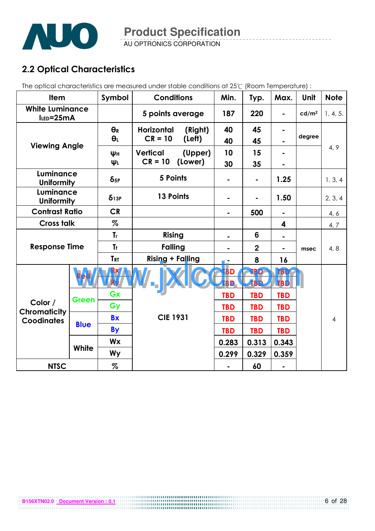

AU OPTRONICS CORPORATION

## 2.2 Optical Characteristics

The optical characteristics are measured under stable conditions at 25°C (Room Temperature) :

| <b>Item</b>                           |              | Symbol                 | <b>Conditions</b>       |         | Min.                   | Typ.                     | Max.           | Unit              | <b>Note</b>    |
|---------------------------------------|--------------|------------------------|-------------------------|---------|------------------------|--------------------------|----------------|-------------------|----------------|
| <b>White Luminance</b><br>ILED=25mA   |              |                        | 5 points average        |         | 187                    | 220                      | $\blacksquare$ | cd/m <sup>2</sup> | 1, 4, 5.       |
|                                       |              | $\Theta_R$             | <b>Horizontal</b>       | (Right) | 40                     | 45                       |                |                   |                |
| <b>Viewing Angle</b>                  |              | $\theta_L$             | $CR = 10$               | (Left)  | 40                     | 45                       |                | degree            |                |
|                                       |              | ΨH                     | <b>Vertical</b>         | (Upper) | 10                     | 15                       |                |                   | 4, 9           |
|                                       |              | ΨL                     | $CR = 10$               | (Lower) | 30                     | 35                       |                |                   |                |
| Luminance<br><b>Uniformity</b>        |              | $\delta$ <sub>5P</sub> | 5 Points                |         |                        | $\blacksquare$           | 1.25           |                   | 1, 3, 4        |
| <b>Luminance</b><br><b>Uniformity</b> |              | $\delta$ 13P           | 13 Points               |         |                        | $\blacksquare$           | 1.50           |                   | 2, 3, 4        |
| <b>Contrast Ratio</b>                 |              | <b>CR</b>              |                         |         | ۰                      | 500                      | $\blacksquare$ |                   | 4, 6           |
| <b>Cross talk</b>                     |              | $\%$                   |                         |         |                        |                          | 4              |                   | 4, 7           |
| <b>Response Time</b>                  |              | T <sub>r</sub>         | Rising                  |         |                        | 6                        |                |                   |                |
|                                       |              | <b>Tf</b>              | <b>Falling</b>          |         |                        | $\overline{2}$           |                | msec              | 4, 8           |
|                                       |              | <b>TRT</b>             | <b>Rising + Falling</b> |         |                        | 8                        | 16             |                   |                |
|                                       |              |                        |                         |         | <b>BD</b><br><b>BD</b> | <b>TBD</b><br><b>TBD</b> | TBD<br>TBD     |                   |                |
|                                       | <b>Green</b> | Gx                     |                         |         | <b>TBD</b>             | <b>TBD</b>               | <b>TBD</b>     |                   |                |
| Color /<br>Chromaticity               |              | Gy                     |                         |         | <b>TBD</b>             | <b>TBD</b>               | <b>TBD</b>     |                   |                |
| <b>Coodinates</b>                     |              | <b>Bx</b>              | <b>CIE 1931</b>         |         | <b>TBD</b>             | <b>TBD</b>               | <b>TBD</b>     |                   | $\overline{4}$ |
|                                       | <b>Blue</b>  | <b>By</b>              |                         |         | <b>TBD</b>             | <b>TBD</b>               | <b>TBD</b>     |                   |                |
|                                       |              | <b>Wx</b>              |                         |         | 0.283                  | 0.313                    | 0.343          |                   |                |
|                                       | White        | <b>Wy</b>              |                         |         | 0.299                  | 0.329                    | 0.359          |                   |                |
| <b>NTSC</b>                           |              | $\%$                   |                         |         |                        | 60                       | $\blacksquare$ |                   |                |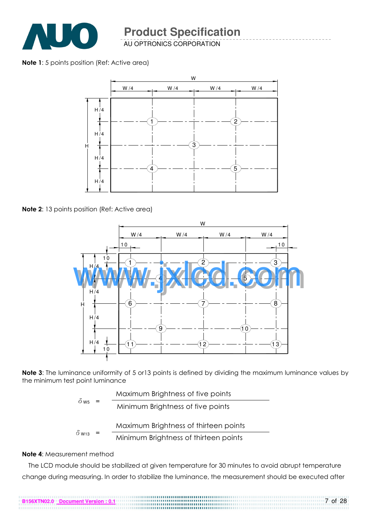

AU OPTRONICS CORPORATION

Note 1: 5 points position (Ref: Active area)



Note 2: 13 points position (Ref: Active area)



Note 3: The luminance uniformity of 5 or 13 points is defined by dividing the maximum luminance values by the minimum test point luminance

|                          | Maximum Brightness of five points     |
|--------------------------|---------------------------------------|
| $0$ W <sub>5</sub>       | Minimum Brightness of five points     |
|                          | Maximum Brightness of thirteen points |
| $\delta$ W <sub>13</sub> |                                       |

$$
13 = \frac{1}{13}
$$
 Minimum Briggs of thirteen points

#### Note 4: Measurement method

The LCD module should be stabilized at given temperature for 30 minutes to avoid abrupt temperature change during measuring. In order to stabilize the luminance, the measurement should be executed after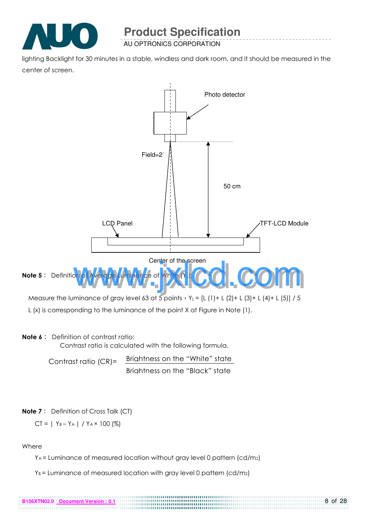

lighting Backlight for 30 minutes in a stable, windless and dark room, and it should be measured in the center of screen.



#### Note 6: Definition of contrast ratio:

Contrast ratio is calculated with the following formula.

Contrast ratio (CR)= Brightness on the "White" state Brightness on the "Black" state

#### **Note 7**: Definition of Cross Talk (CT)

$$
CT = | Y_B - Y_A | / Y_A \times 100 (%)
$$

#### Where

YA = Luminance of measured location without gray level 0 pattern (cd/m2)

 $Y_B$  = Luminance of measured location with gray level 0 pattern (cd/m2)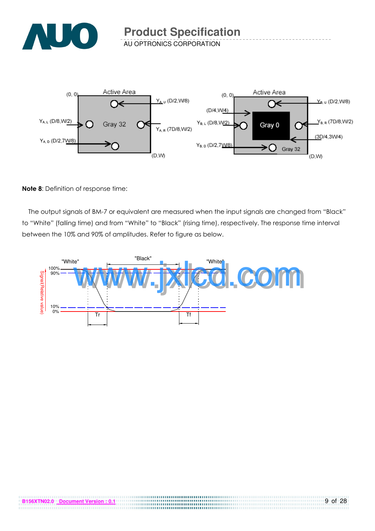



#### Note 8: Definition of response time:

The output signals of BM-7 or equivalent are measured when the input signals are changed from "Black" to "White" (falling time) and from "White" to "Black" (rising time), respectively. The response time interval between the 10% and 90% of amplitudes. Refer to figure as below.



. . . . . . . . . . . . . .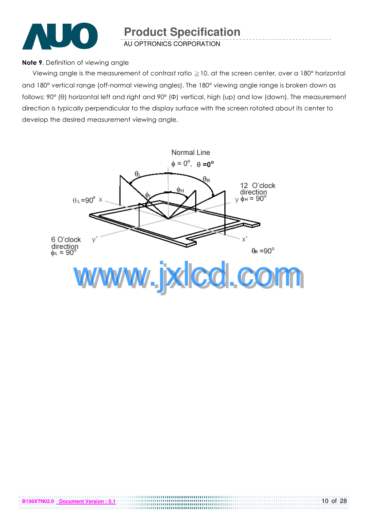

#### Note 9. Definition of viewing angle

Viewing angle is the measurement of contrast ratio  $\geq$  10, at the screen center, over a 180° horizontal and 180° vertical range (off-normal viewing angles). The 180° viewing angle range is broken down as follows; 90° (θ) horizontal left and right and 90° (Φ) vertical, high (up) and low (down). The measurement direction is typically perpendicular to the display surface with the screen rotated about its center to develop the desired measurement viewing angle.

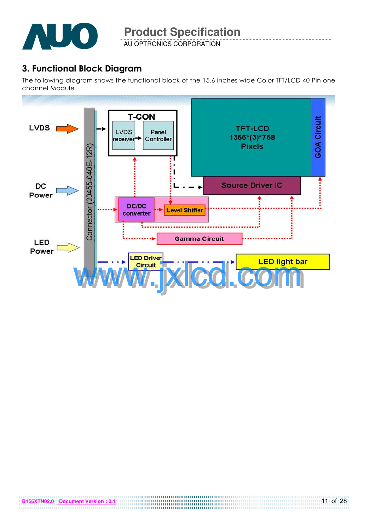

AU OPTRONICS CORPORATION

## 3. Functional Block Diagram

The following diagram shows the functional block of the 15.6 inches wide Color TFT/LCD 40 Pin one channel Module

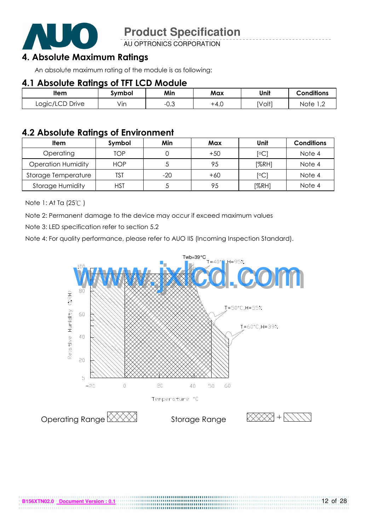

AU OPTRONICS CORPORATION

## 4. Absolute Maximum Ratings

An absolute maximum rating of the module is as following:

#### 4.1 Absolute Ratings of TFT LCD Module

| ltem            | svmbol | Min             | Max    | Unit   | <b>Conditions</b>  |
|-----------------|--------|-----------------|--------|--------|--------------------|
| Logic/LCD Drive | Vin    | ົ<br>$-U. \cup$ | $+4.0$ | [Volt] | Note<br>$\sqrt{2}$ |

#### 4.2 Absolute Ratings of Environment

| <b>Item</b>               | Symbol     | Min   | Max   | Unit                    | <b>Conditions</b> |
|---------------------------|------------|-------|-------|-------------------------|-------------------|
| Operating                 | TOP        |       | $+50$ | $\lceil \circ C \rceil$ | Note 4            |
| <b>Operation Humidity</b> | <b>HOP</b> |       | 95    | [%RH]                   | Note 4            |
| Storage Temperature       | TST        | $-20$ | $+60$ | [°C]                    | Note 4            |
| <b>Storage Humidity</b>   | <b>HST</b> |       | 95    | [%RH]                   | Note 4            |

Note 1: At Ta (25°C)

Note 2: Permanent damage to the device may occur if exceed maximum values

Note 3: LED specification refer to section 5.2

Note 4: For quality performance, please refer to AUO IIS (Incoming Inspection Standard).

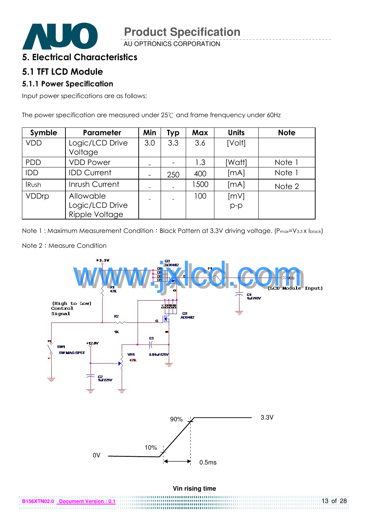

#### 5. Electrical Characteristics

#### 5.1 TFT LCD Module

#### 5.1.1 Power Specification

Input power specifications are as follows;

The power specification are measured under  $25^{\circ}$  and frame frenquency under 60Hz

| Symble       | Parameter                                      | Min                          | <b>Typ</b> | Max  | <b>Units</b>  | <b>Note</b> |
|--------------|------------------------------------------------|------------------------------|------------|------|---------------|-------------|
| <b>VDD</b>   | Logic/LCD Drive<br>Voltage                     | 3.0                          | 3.3        | 3.6  | [Volt]        |             |
| <b>PDD</b>   | <b>VDD Power</b>                               | $\qquad \qquad$              |            | 1.3  | [Watt]        | Note 1      |
| <b>IDD</b>   | <b>IDD Current</b>                             | $\qquad \qquad \blacksquare$ | 250        | 400  | [MA]          | Note 1      |
| <b>IRush</b> | Inrush Current                                 | -                            |            | 1500 | [MA]          | Note 2      |
| VDDrp        | Allowable<br>Logic/LCD Drive<br>Ripple Voltage |                              |            | 100  | [mV]<br>$p-p$ |             |

Note 1: Maximum Measurement Condition: Black Pattern at 3.3V driving voltage. (P<sub>max</sub>=V<sub>3.3</sub> x I<sub>black</sub>)



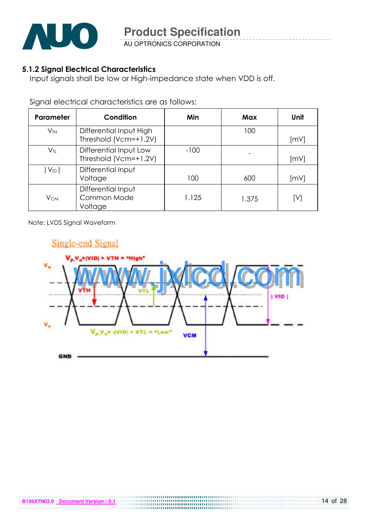

#### 5.1.2 Signal Electrical Characteristics

Input signals shall be low or High-impedance state when VDD is off.

Signal electrical characteristics are as follows;

| <b>Parameter</b>           | Condition                                        | Min    | Max   | Unit |
|----------------------------|--------------------------------------------------|--------|-------|------|
| V <sub>TH</sub>            | Differential Input High<br>Threshold (Vcm=+1.2V) |        | 100   | [mV] |
| $\mathsf{V}_{\textsf{TL}}$ | Differential Input Low<br>Threshold (Vcm=+1.2V)  | $-100$ |       | [mV] |
| $V_{ID}$                   | Differential Input<br>Voltage                    | 100    | 600   | [mV] |
| $V_{CM}$                   | Differential Input<br>Common Mode<br>Voltage     | 1.125  | 1.375 | [V]  |

Note: LVDS Signal Waveform

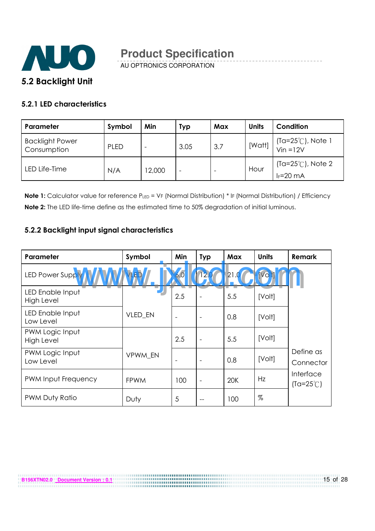

#### 5.2.1 LED characteristics

| Parameter                             | Symbol      | Min    | Typ                      | Max | <b>Units</b> | Condition                                     |
|---------------------------------------|-------------|--------|--------------------------|-----|--------------|-----------------------------------------------|
| <b>Backlight Power</b><br>Consumption | <b>PLED</b> |        | 3.05                     | 3.7 | [Watt]       | $(Ta=25^{\circ}C)$ , Note 1<br>Vin =12V       |
| LED Life-Time                         | N/A         | 12,000 | $\overline{\phantom{a}}$ |     | Hour         | (Ta= $25^{\circ}$ C), Note 2<br>$I_F = 20$ mA |

Note 1: Calculator value for reference PLED = VF (Normal Distribution) \* IF (Normal Distribution) / Efficiency Note 2: The LED life-time define as the estimated time to 50% degradation of initial luminous.

#### 5.2.2 Backlight input signal characteristics

**B156XTN02.0 Document Version : 0.1**

| Parameter                             | Symbol      | Min                      | <b>Typ</b>               | Max  | <b>Units</b> | Remark                          |
|---------------------------------------|-------------|--------------------------|--------------------------|------|--------------|---------------------------------|
| LED Power Suppl                       |             | 6.0                      | 2.                       | 21.0 | [Vo          |                                 |
| LED Enable Input<br><b>High Level</b> |             | 2.5                      |                          | 5.5  | [Volt]       |                                 |
| LED Enable Input<br>Low Level         | VLED_EN     | $\overline{\phantom{a}}$ | $\overline{\phantom{0}}$ | 0.8  | [Volt]       |                                 |
| PWM Logic Input<br><b>High Level</b>  |             | 2.5                      | $\overline{\phantom{0}}$ | 5.5  | [Volt]       |                                 |
| PWM Logic Input<br>Low Level          | VPWM EN     | $\overline{\phantom{a}}$ | $\overline{\phantom{0}}$ | 0.8  | [Volt]       | Define as<br>Connector          |
| PWM Input Frequency                   | <b>FPWM</b> | 100                      | ۰                        | 20K  | Hz           | Interface<br>$(Ta=25^{\circ}C)$ |
| PWM Duty Ratio                        | Duty        | 5                        |                          | 100  | %            |                                 |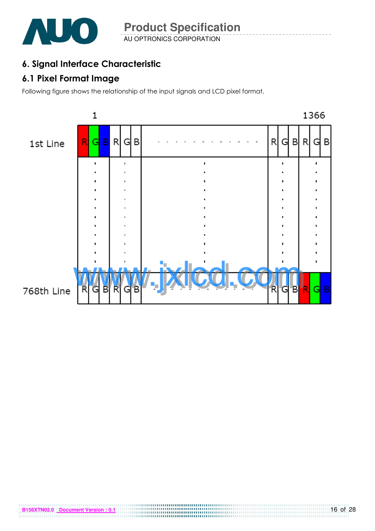

AU OPTRONICS CORPORATION **Product Specification** 

## 6. Signal Interface Characteristic

## 6.1 Pixel Format Image

Following figure shows the relationship of the input signals and LCD pixel format.

**B156XTN02.0** Document Version : 0.1

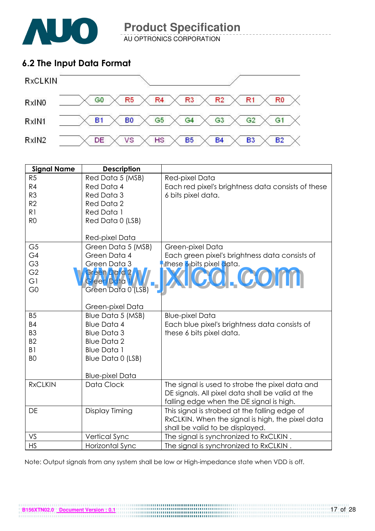

AU OPTRONICS CORPORATION

## 6.2 The Input Data Format



| <b>Signal Name</b> | <b>Description</b>         |                                                                                                     |
|--------------------|----------------------------|-----------------------------------------------------------------------------------------------------|
| R <sub>5</sub>     | Red Data 5 (MSB)           | Red-pixel Data                                                                                      |
| R4                 | Red Data 4                 | Each red pixel's brightness data consists of these                                                  |
| R <sub>3</sub>     | Red Data 3                 | 6 bits pixel data.                                                                                  |
| R2                 | <b>Red Data 2</b>          |                                                                                                     |
| R1                 | Red Data 1                 |                                                                                                     |
| R <sub>0</sub>     | Red Data 0 (LSB)           |                                                                                                     |
|                    |                            |                                                                                                     |
|                    | Red-pixel Data             |                                                                                                     |
| G <sub>5</sub>     | Green Data 5 (MSB)         | Green-pixel Data                                                                                    |
| G4                 | Green Data 4               | Each green pixel's brightness data consists of                                                      |
| G <sub>3</sub>     | Green Data 3               | these 6 bits pixel data.                                                                            |
| G <sub>2</sub>     | Gr <mark>een Data</mark> 2 | COI.COM                                                                                             |
| G1                 | Green Data 1               |                                                                                                     |
| G <sub>0</sub>     | Green Data 0 (LSB)         |                                                                                                     |
|                    |                            |                                                                                                     |
|                    | Green-pixel Data           |                                                                                                     |
| <b>B5</b>          | Blue Data 5 (MSB)          | <b>Blue-pixel Data</b>                                                                              |
| <b>B4</b>          | <b>Blue Data 4</b>         | Each blue pixel's brightness data consists of                                                       |
| B <sub>3</sub>     | <b>Blue Data 3</b>         | these 6 bits pixel data.                                                                            |
| B <sub>2</sub>     | <b>Blue Data 2</b>         |                                                                                                     |
| B <sub>1</sub>     | <b>Blue Data 1</b>         |                                                                                                     |
| B <sub>O</sub>     | Blue Data 0 (LSB)          |                                                                                                     |
|                    | <b>Blue-pixel Data</b>     |                                                                                                     |
| <b>RxCLKIN</b>     | Data Clock                 |                                                                                                     |
|                    |                            | The signal is used to strobe the pixel data and<br>DE signals. All pixel data shall be valid at the |
|                    |                            |                                                                                                     |
| DE                 | Display Timing             | falling edge when the DE signal is high.<br>This signal is strobed at the falling edge of           |
|                    |                            | RxCLKIN. When the signal is high, the pixel data                                                    |
|                    |                            | shall be valid to be displayed.                                                                     |
| VS                 | Vertical Sync              | The signal is synchronized to RxCLKIN.                                                              |
| <b>HS</b>          | Horizontal Sync            | The signal is synchronized to RxCLKIN.                                                              |

Note: Output signals from any system shall be low or High-impedance state when VDD is off.

**B156XTN02.0** Document Version : 0.1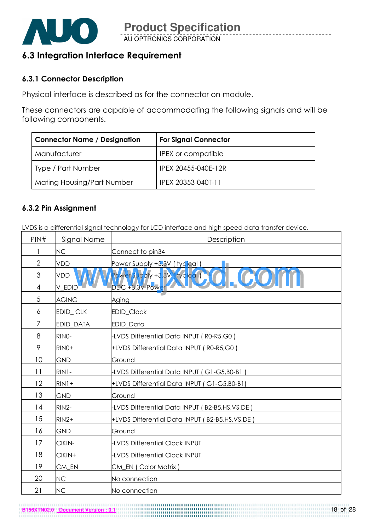

AU OPTRONICS CORPORATION **Product Specification** 

## 6.3 Integration Interface Requirement

#### 6.3.1 Connector Description

Physical interface is described as for the connector on module.

These connectors are capable of accommodating the following signals and will be following components.

| <b>Connector Name / Designation</b> | <b>For Signal Connector</b> |
|-------------------------------------|-----------------------------|
| Manufacturer                        | <b>IPEX</b> or compatible   |
| Type / Part Number                  | IPEX 20455-040E-12R         |
| Mating Housing/Part Number          | IPEX 20353-040T-11          |

#### 6.3.2 Pin Assignment

LVDS is a differential signal technology for LCD interface and high speed data transfer device.

| PIN#           | Signal Name  | Description                                    |
|----------------|--------------|------------------------------------------------|
| 1              | <b>NC</b>    | Connect to pin34                               |
| $\overline{2}$ | <b>VDD</b>   | Power Supply +3.3V (typical)                   |
| $\mathfrak{Z}$ | VDD          | Rower Supply +3.3V (typical)                   |
| 4              | V_EDID       | DDC +3.3V Power                                |
| 5              | <b>AGING</b> | Aging                                          |
| 6              | EDID_CLK     | EDID_Clock                                     |
| 7              | EDID_DATA    | EDID_Data                                      |
| 8              | RINO-        | -LVDS Differential Data INPUT (R0-R5,G0)       |
| 9              | RINO+        | +LVDS Differential Data INPUT (R0-R5,G0)       |
| 10             | <b>GND</b>   | Ground                                         |
| 11             | RIN1-        | LVDS Differential Data INPUT (G1-G5,B0-B1)     |
| 12             | $RIN1+$      | +LVDS Differential Data INPUT (G1-G5,B0-B1)    |
| 13             | <b>GND</b>   | Ground                                         |
| 14             | RIN2-        | -LVDS Differential Data INPUT (B2-B5,HS,VS,DE) |
| 15             | $RIN2+$      | +LVDS Differential Data INPUT (B2-B5,HS,VS,DE) |
| 16             | <b>GND</b>   | Ground                                         |
| 17             | CIKIN-       | <b>LVDS Differential Clock INPUT</b>           |
| 18             | CIKIN+       | <b>LVDS Differential Clock INPUT</b>           |
| 19             | CM_EN        | CM_EN (Color Matrix)                           |
| 20             | <b>NC</b>    | No connection                                  |
| 21             | <b>NC</b>    | No connection                                  |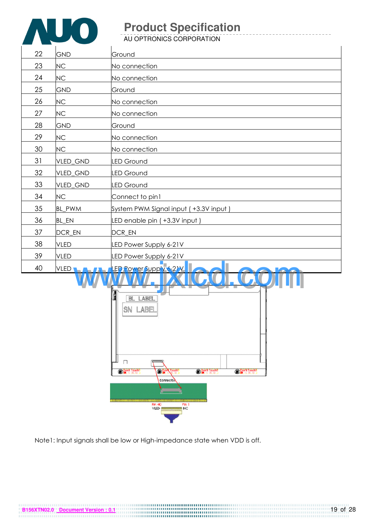

AU OPTRONICS CORPORATION

| 22 | GND                | Ground                                |
|----|--------------------|---------------------------------------|
| 23 | NC                 | No connection                         |
| 24 | NC                 | No connection                         |
| 25 | GND                | Ground                                |
| 26 | <b>NC</b>          | No connection                         |
| 27 | NC                 | No connection                         |
| 28 | GND                | Ground                                |
| 29 | NC                 | No connection                         |
| 30 | <b>NC</b>          | No connection                         |
| 31 | VLED_GND           | <b>LED Ground</b>                     |
| 32 | VLED_GND           | <b>LED Ground</b>                     |
| 33 | VLED_GND           | <b>LED Ground</b>                     |
| 34 | <b>NC</b>          | Connect to pin1                       |
| 35 | BL_PWM             | System PWM Signal input (+3.3V input) |
| 36 | <b>BL_EN</b>       | LED enable pin (+3.3V input)          |
| 37 | DCR_EN             | DCR_EN                                |
| 38 | <b>VLED</b>        | LED Power Supply 6-21V                |
| 39 | <b>VLED</b>        | LED Power Supply 6-21V                |
| 40 | VLED <b>LA ALA</b> | LED Power Supply 6-21V<br><b>AAM</b>  |



Note1: Input signals shall be low or High-impedance state when VDD is off.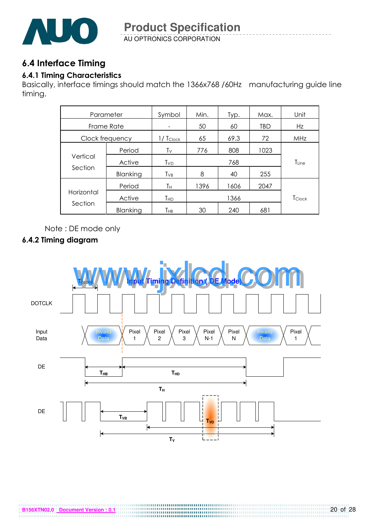

AU OPTRONICS CORPORATION **Product Specification** 

## 6.4 Interface Timing

#### 6.4.1 Timing Characteristics

Basically, interface timings should match the 1366x768 /60Hz manufacturing guide line timing.

| Parameter             |          | Symbol                             | Min. | Typ. | Max. | Unit       |
|-----------------------|----------|------------------------------------|------|------|------|------------|
| Frame Rate            |          |                                    | 50   | 60   | TBD  | Hz         |
| Clock frequency       |          | $1/ T_{Clock}$                     | 65   | 69.3 | 72   | MHz        |
| Vertical<br>Section   | Period   | Tv                                 | 776  | 808  | 1023 |            |
|                       | Active   | <b>T</b> <sub>v</sub> <sub>D</sub> |      | 768  |      | $T_{Line}$ |
|                       | Blanking | $T_{VB}$                           | 8    | 40   | 255  |            |
| Horizontal<br>Section | Period   | Τн                                 | 1396 | 1606 | 2047 |            |
|                       | Active   | Тнр                                |      | 1366 |      | TClock     |
|                       | Blanking | Тнв                                | 30   | 240  | 681  |            |

Note : DE mode only

#### 6.4.2 Timing diagram

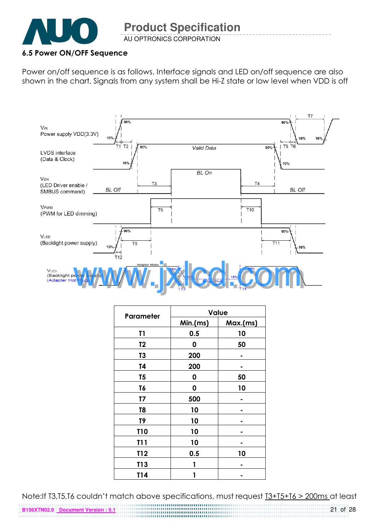

AU OPTRONICS CORPORATION **Product Specification** 

#### 6.5 Power ON/OFF Sequence

Power on/off sequence is as follows. Interface signals and LED on/off sequence are also shown in the chart. Signals from any system shall be Hi-Z state or low level when VDD is off



| Parameter       | <b>Value</b> |          |  |  |
|-----------------|--------------|----------|--|--|
|                 | Min.(ms)     | Max.(ms) |  |  |
| T1              | 0.5          | 10       |  |  |
| T <sub>2</sub>  | 0            | 50       |  |  |
| T3              | 200          |          |  |  |
| T4              | 200          |          |  |  |
| T <sub>5</sub>  | 0            | 50       |  |  |
| T6              | 0            | 10       |  |  |
| T7              | 500          |          |  |  |
| T <sub>8</sub>  | 10           |          |  |  |
| T9              | 10           |          |  |  |
| <b>T10</b>      | 10           |          |  |  |
| T11             | 10           |          |  |  |
| T12             | 0.5          | 10       |  |  |
| T <sub>13</sub> | 1            |          |  |  |
| T14             |              |          |  |  |

Note:If T3,T5,T6 couldn't match above specifications, must request T3+T5+T6 > 200ms at least

**B156XTN02.0 Document Version : 0.1**

21 of 28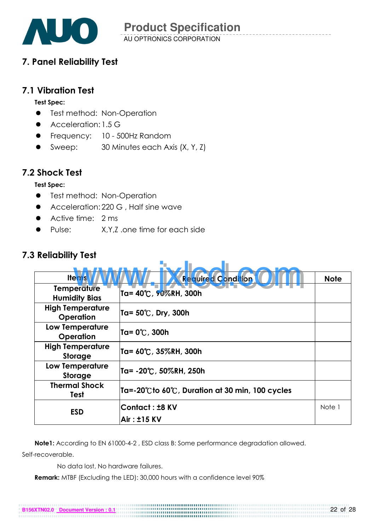

## 7. Panel Reliability Test

## 7.1 Vibration Test

#### Test Spec:

- **•** Test method: Non-Operation
- **Acceleration: 1.5 G**
- **•** Frequency: 10 500Hz Random
- Sweep: 30 Minutes each Axis (X, Y, Z)

## 7.2 Shock Test

#### Test Spec:

- **•** Test method: Non-Operation
- Acceleration: 220 G , Half sine wave
- Active time: 2 ms
- Pulse: X,Y,Z .one time for each side

## 7.3 Reliability Test

| <b>Items</b>                                | <b>Required Condition</b>                                          | <b>Note</b> |  |  |
|---------------------------------------------|--------------------------------------------------------------------|-------------|--|--|
| <b>Temperature</b><br><b>Humidity Bias</b>  | Ta= 40℃, 90%RH, 300h                                               |             |  |  |
| <b>High Temperature</b><br><b>Operation</b> | Ta= 50℃, Dry, 300h                                                 |             |  |  |
| <b>Low Temperature</b><br>Operation         | Ta= 0℃, 300h                                                       |             |  |  |
| <b>High Temperature</b><br>Storage          | Ta= 60℃, 35%RH, 300h                                               |             |  |  |
| <b>Low Temperature</b><br><b>Storage</b>    | Ta= -20℃, 50%RH, 250h                                              |             |  |  |
| <b>Thermal Shock</b><br>Test                | $Ta = -20^{\circ}C$ to 60 $\circ$ , Duration at 30 min, 100 cycles |             |  |  |
| <b>ESD</b>                                  | Contact: ±8 KV<br>Air: ±15 KV                                      | Note 1      |  |  |

Note1: According to EN 61000-4-2 , ESD class B: Some performance degradation allowed.

Self-recoverable.

No data lost, No hardware failures.

Remark: MTBF (Excluding the LED): 30,000 hours with a confidence level 90%

**B156XTN02.0 Document Version : 0.1**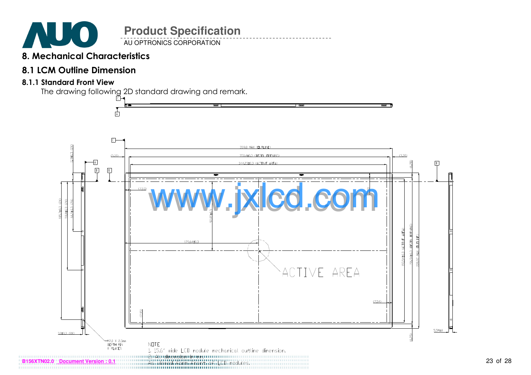

AU OPTRONICS CORPORATION

## 8. Mechanical Characteristics

## 8.1 LCM Outline Dimension

#### 8.1.1 Standard Front View

The drawing following 2D standard drawing and remark.

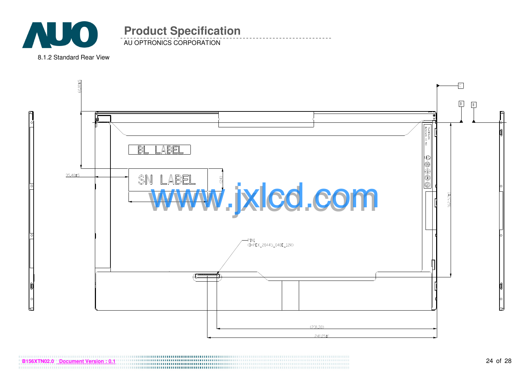

AU OPTRONICS CORPORATION

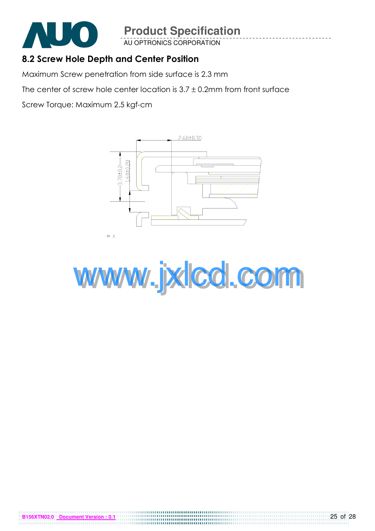

**B6XTN02.0 Document Version** 

# **Product Specification**

AU OPTRONICS CORPORATION

## 8.2 Screw Hole Depth and Center Position

Maximum Screw penetration from side surface is 2.3 mm

The center of screw hole center location is  $3.7 \pm 0.2$ mm from front surface

Screw Torque: Maximum 2.5 kgf-cm



www.jxlcd.com

0000000000000000000000000000 

25 of 28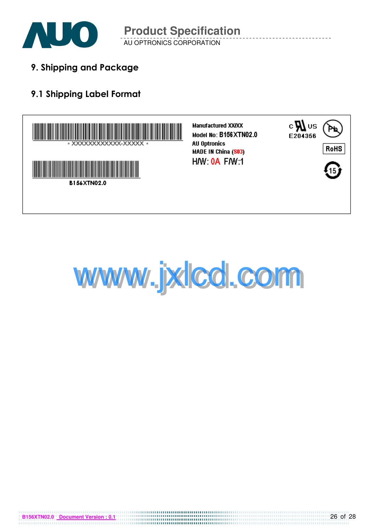

AU OPTRONICS CORPORATION **Product Specification** 

9. Shipping and Package

## 9.1 Shipping Label Format





**B156XTN02.0 Document Version : 0.1**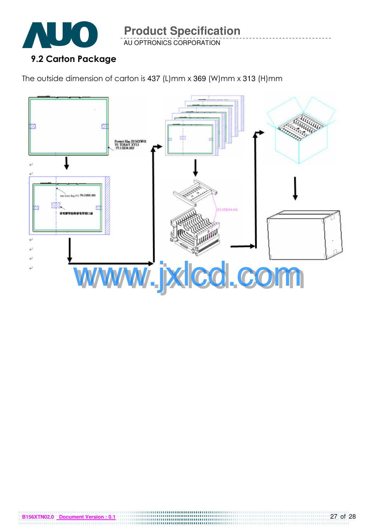

**B156XTN02.0 Document Version : 0.1**

**Product Specification** 

AU OPTRONICS CORPORATION

The outside dimension of carton is 437 (L)mm x 369 (W)mm x 313 (H)mm